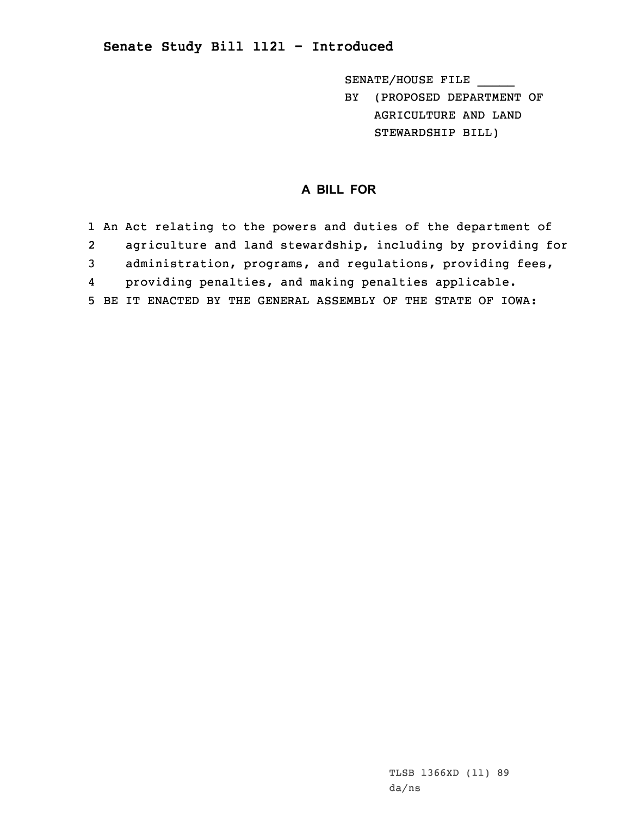## **Senate Study Bill 1121 - Introduced**

SENATE/HOUSE FILE \_\_\_\_\_

BY (PROPOSED DEPARTMENT OF AGRICULTURE AND LAND STEWARDSHIP BILL)

## **A BILL FOR**

1 An Act relating to the powers and duties of the department of 2 agriculture and land stewardship, including by providing for 3 administration, programs, and regulations, providing fees, 4 providing penalties, and making penalties applicable. 5 BE IT ENACTED BY THE GENERAL ASSEMBLY OF THE STATE OF IOWA: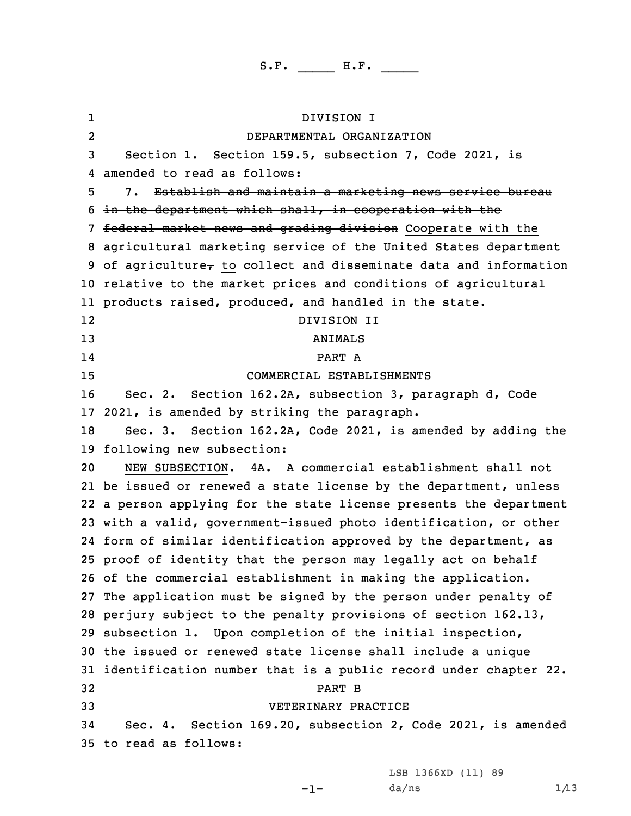1 DIVISION I 2 DEPARTMENTAL ORGANIZATION Section 1. Section 159.5, subsection 7, Code 2021, is amended to read as follows: 7. Establish and maintain <sup>a</sup> marketing news service bureau in the department which shall, in cooperation with the 7 federal market news and grading division Cooperate with the agricultural marketing service of the United States department 9 of agriculture $_{\tau}$  to collect and disseminate data and information relative to the market prices and conditions of agricultural products raised, produced, and handled in the state. 12 DIVISION II 13 ANIMALS 14 PART A COMMERCIAL ESTABLISHMENTS Sec. 2. Section 162.2A, subsection 3, paragraph d, Code 2021, is amended by striking the paragraph. Sec. 3. Section 162.2A, Code 2021, is amended by adding the following new subsection: NEW SUBSECTION. 4A. A commercial establishment shall not be issued or renewed <sup>a</sup> state license by the department, unless <sup>a</sup> person applying for the state license presents the department with <sup>a</sup> valid, government-issued photo identification, or other form of similar identification approved by the department, as proof of identity that the person may legally act on behalf of the commercial establishment in making the application. The application must be signed by the person under penalty of perjury subject to the penalty provisions of section 162.13, subsection 1. Upon completion of the initial inspection, the issued or renewed state license shall include <sup>a</sup> unique identification number that is <sup>a</sup> public record under chapter 22. 32 PART B VETERINARY PRACTICE Sec. 4. Section 169.20, subsection 2, Code 2021, is amended to read as follows:

LSB 1366XD (11) 89

-1-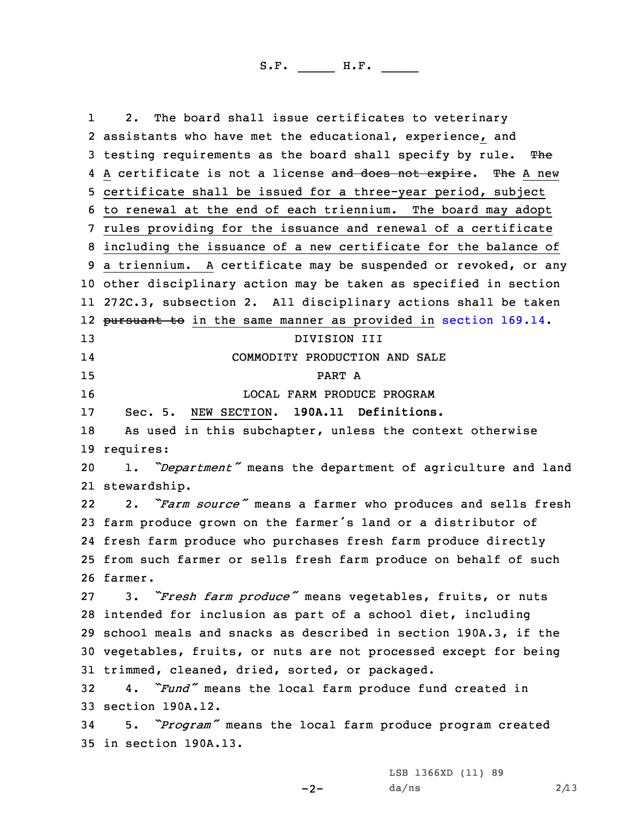1 2. The board shall issue certificates to veterinary assistants who have met the educational, experience, and 3 testing requirements as the board shall specify by rule. The 4 A certificate is not a license <del>and does not expire</del>. The A new certificate shall be issued for <sup>a</sup> three-year period, subject to renewal at the end of each triennium. The board may adopt rules providing for the issuance and renewal of <sup>a</sup> certificate including the issuance of <sup>a</sup> new certificate for the balance of <sup>a</sup> triennium. <sup>A</sup> certificate may be suspended or revoked, or any other disciplinary action may be taken as specified in section 272C.3, subsection 2. All disciplinary actions shall be taken 12 <del>pursuant to</del> in the same manner as provided in [section](https://www.legis.iowa.gov/docs/code/2021/169.14.pdf) 169.14. DIVISION III 14 COMMODITY PRODUCTION AND SALE 15 PART A LOCAL FARM PRODUCE PROGRAM Sec. 5. NEW SECTION. **190A.11 Definitions.** As used in this subchapter, unless the context otherwise requires: 1. *"Department"* means the department of agriculture and land stewardship. 22 2. *"Farm source"* means <sup>a</sup> farmer who produces and sells fresh farm produce grown on the farmer's land or <sup>a</sup> distributor of fresh farm produce who purchases fresh farm produce directly from such farmer or sells fresh farm produce on behalf of such 26 farmer. 3. *"Fresh farm produce"* means vegetables, fruits, or nuts intended for inclusion as part of <sup>a</sup> school diet, including school meals and snacks as described in section 190A.3, if the vegetables, fruits, or nuts are not processed except for being trimmed, cleaned, dried, sorted, or packaged. 4. *"Fund"* means the local farm produce fund created in section 190A.12. 5. *"Program"* means the local farm produce program created in section 190A.13.

 $-2-$ 

LSB 1366XD (11) 89  $da/ns$  2/13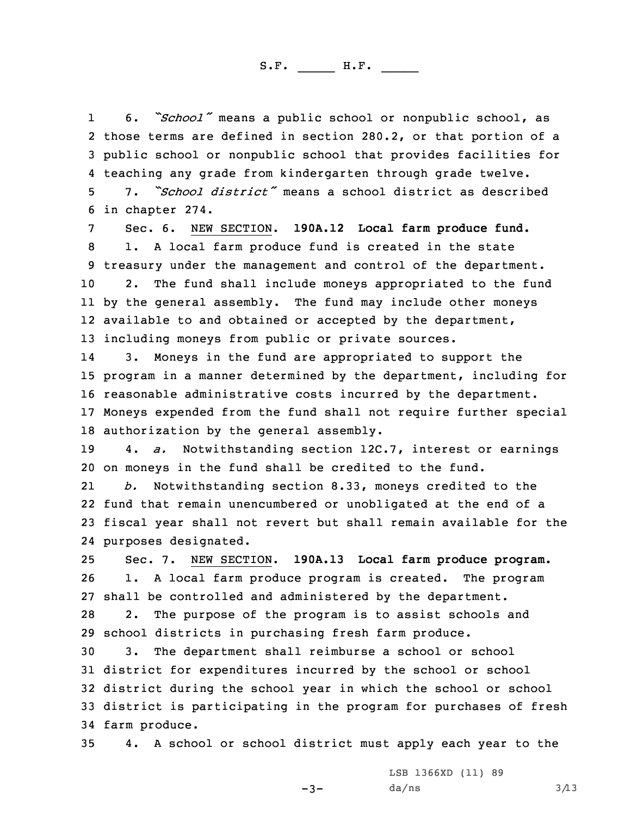1 6. *"School"* means <sup>a</sup> public school or nonpublic school, as those terms are defined in section 280.2, or that portion of <sup>a</sup> public school or nonpublic school that provides facilities for teaching any grade from kindergarten through grade twelve. 7. *"School district"* means <sup>a</sup> school district as described

6 in chapter 274.

 Sec. 6. NEW SECTION. **190A.12 Local farm produce fund.** 1. <sup>A</sup> local farm produce fund is created in the state treasury under the management and control of the department. 2. The fund shall include moneys appropriated to the fund by the general assembly. The fund may include other moneys available to and obtained or accepted by the department, including moneys from public or private sources.

14 3. Moneys in the fund are appropriated to support the program in <sup>a</sup> manner determined by the department, including for reasonable administrative costs incurred by the department. Moneys expended from the fund shall not require further special authorization by the general assembly.

19 4. *a.* Notwithstanding section 12C.7, interest or earnings 20 on moneys in the fund shall be credited to the fund.

21 *b.* Notwithstanding section 8.33, moneys credited to the 22 fund that remain unencumbered or unobligated at the end of <sup>a</sup> 23 fiscal year shall not revert but shall remain available for the 24 purposes designated.

25 Sec. 7. NEW SECTION. **190A.13 Local farm produce program.** 26 1. <sup>A</sup> local farm produce program is created. The program 27 shall be controlled and administered by the department.

28 2. The purpose of the program is to assist schools and 29 school districts in purchasing fresh farm produce.

 3. The department shall reimburse <sup>a</sup> school or school district for expenditures incurred by the school or school district during the school year in which the school or school district is participating in the program for purchases of fresh farm produce.

35 4. <sup>A</sup> school or school district must apply each year to the

 $-3-$ 

LSB 1366XD (11) 89  $da/ns$  3/13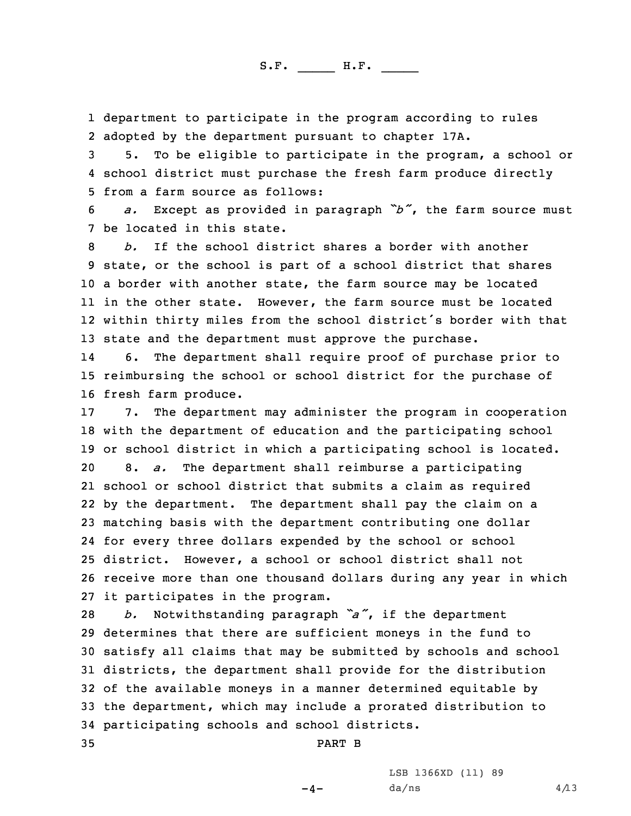1 department to participate in the program according to rules 2 adopted by the department pursuant to chapter 17A.

3 5. To be eligible to participate in the program, <sup>a</sup> school or 4 school district must purchase the fresh farm produce directly 5 from a farm source as follows:

<sup>6</sup> *a.* Except as provided in paragraph *"b"*, the farm source must 7 be located in this state.

 *b.* If the school district shares <sup>a</sup> border with another state, or the school is part of <sup>a</sup> school district that shares <sup>a</sup> border with another state, the farm source may be located in the other state. However, the farm source must be located within thirty miles from the school district's border with that state and the department must approve the purchase.

14 6. The department shall require proof of purchase prior to 15 reimbursing the school or school district for the purchase of 16 fresh farm produce.

 7. The department may administer the program in cooperation with the department of education and the participating school or school district in which <sup>a</sup> participating school is located. 8. *a.* The department shall reimburse <sup>a</sup> participating school or school district that submits <sup>a</sup> claim as required by the department. The department shall pay the claim on <sup>a</sup> matching basis with the department contributing one dollar for every three dollars expended by the school or school district. However, <sup>a</sup> school or school district shall not receive more than one thousand dollars during any year in which it participates in the program.

 *b.* Notwithstanding paragraph *"a"*, if the department determines that there are sufficient moneys in the fund to satisfy all claims that may be submitted by schools and school districts, the department shall provide for the distribution of the available moneys in <sup>a</sup> manner determined equitable by the department, which may include <sup>a</sup> prorated distribution to participating schools and school districts.

35 PART B

LSB 1366XD (11) 89  $da/ns$  4/13

 $-4-$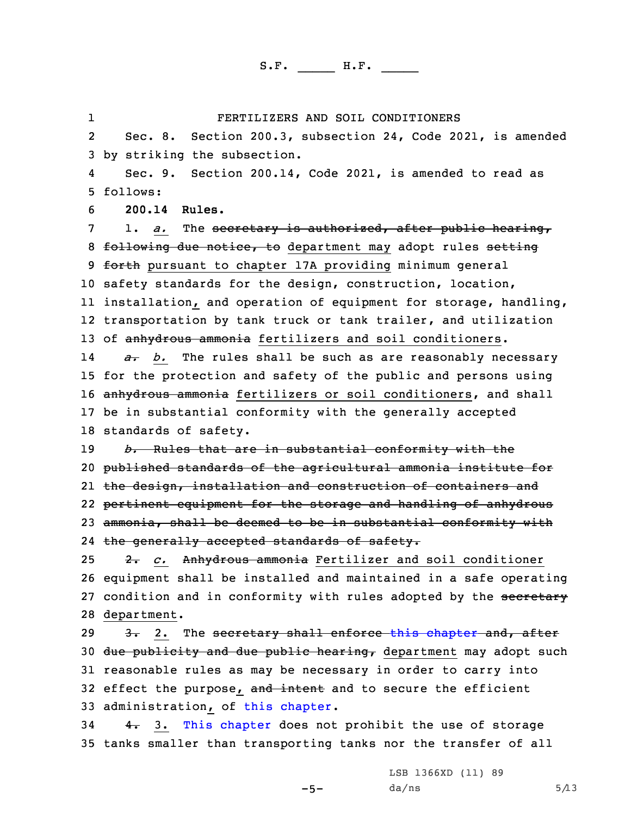FERTILIZERS AND SOIL CONDITIONERS

2 Sec. 8. Section 200.3, subsection 24, Code 2021, is amended 3 by striking the subsection.

4 Sec. 9. Section 200.14, Code 2021, is amended to read as 5 follows:

6 **200.14 Rules.**

1

7 1. *a.* The secretary is authorized, after public hearing, 8 following due notice, to department may adopt rules setting 9 forth pursuant to chapter 17A providing minimum general 10 safety standards for the design, construction, location, 11 installation, and operation of equipment for storage, handling, 12 transportation by tank truck or tank trailer, and utilization 13 of anhydrous ammonia fertilizers and soil conditioners.

14 *a. b.* The rules shall be such as are reasonably necessary 15 for the protection and safety of the public and persons using 16 anhydrous ammonia fertilizers or soil conditioners, and shall 17 be in substantial conformity with the generally accepted 18 standards of safety.

 *b.* Rules that are in substantial conformity with the published standards of the agricultural ammonia institute for the design, installation and construction of containers and pertinent equipment for the storage and handling of anhydrous ammonia, shall be deemed to be in substantial conformity with the generally accepted standards of safety.

 2. *c.* Anhydrous ammonia Fertilizer and soil conditioner equipment shall be installed and maintained in <sup>a</sup> safe operating 27 condition and in conformity with rules adopted by the secretary department.

29 3. 2. The secretary shall enforce this [chapter](https://www.legis.iowa.gov/docs/code/2021/200.pdf) and, after 30 <del>due publicity and due public hearing,</del> department may adopt such 31 reasonable rules as may be necessary in order to carry into 32 effect the purpose, and intent and to secure the efficient 33 administration, of this [chapter](https://www.legis.iowa.gov/docs/code/2021/200.pdf).

34 4. 3. This [chapter](https://www.legis.iowa.gov/docs/code/2021/200.pdf) does not prohibit the use of storage 35 tanks smaller than transporting tanks nor the transfer of all

-5-

LSB 1366XD (11) 89  $da/ns$  5/13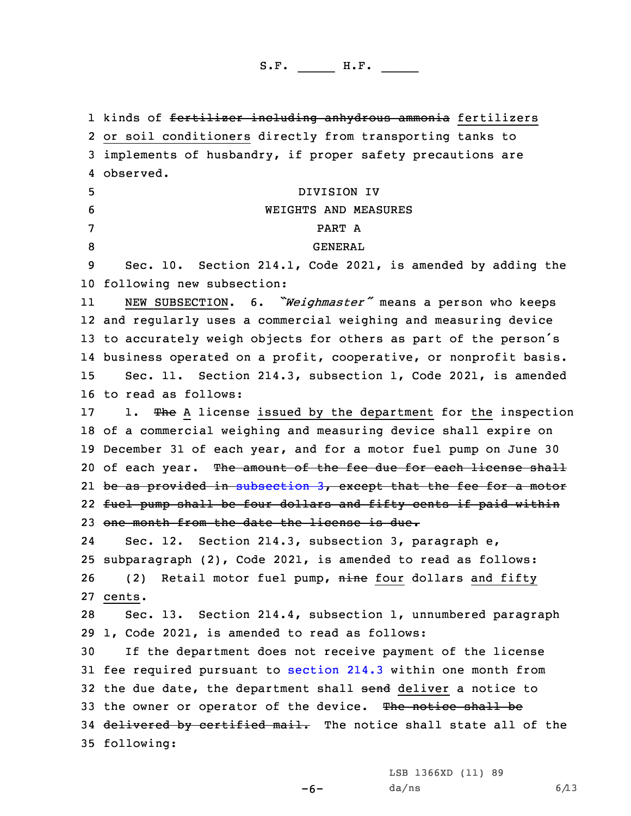1 kinds of <del>fertilizer including anhydrous ammonia</del> fertilizers or soil conditioners directly from transporting tanks to implements of husbandry, if proper safety precautions are observed. DIVISION IV WEIGHTS AND MEASURES 7 PART A 8 GENERAL Sec. 10. Section 214.1, Code 2021, is amended by adding the following new subsection: 11 NEW SUBSECTION. 6. *"Weighmaster"* means <sup>a</sup> person who keeps and regularly uses <sup>a</sup> commercial weighing and measuring device to accurately weigh objects for others as part of the person's business operated on <sup>a</sup> profit, cooperative, or nonprofit basis. Sec. 11. Section 214.3, subsection 1, Code 2021, is amended to read as follows: 17 1. The A license issued by the department for the inspection of <sup>a</sup> commercial weighing and measuring device shall expire on December 31 of each year, and for <sup>a</sup> motor fuel pump on June 30 20 of each year. The amount of the fee due for each license shall be as provided in [subsection](https://www.legis.iowa.gov/docs/code/2021/214.3.pdf) 3, except that the fee for <sup>a</sup> motor fuel pump shall be four dollars and fifty cents if paid within one month from the date the license is due. 24 Sec. 12. Section 214.3, subsection 3, paragraph e, subparagraph (2), Code 2021, is amended to read as follows: 26 (2) Retail motor fuel pump, nine four dollars and fifty 27 cents. Sec. 13. Section 214.4, subsection 1, unnumbered paragraph 1, Code 2021, is amended to read as follows: If the department does not receive payment of the license fee required pursuant to [section](https://www.legis.iowa.gov/docs/code/2021/214.3.pdf) 214.3 within one month from 32 the due date, the department shall send deliver a notice to 33 the owner or operator of the device. The notice shall be 34 delivered by certified mail. The notice shall state all of the following:

LSB 1366XD (11) 89

-6-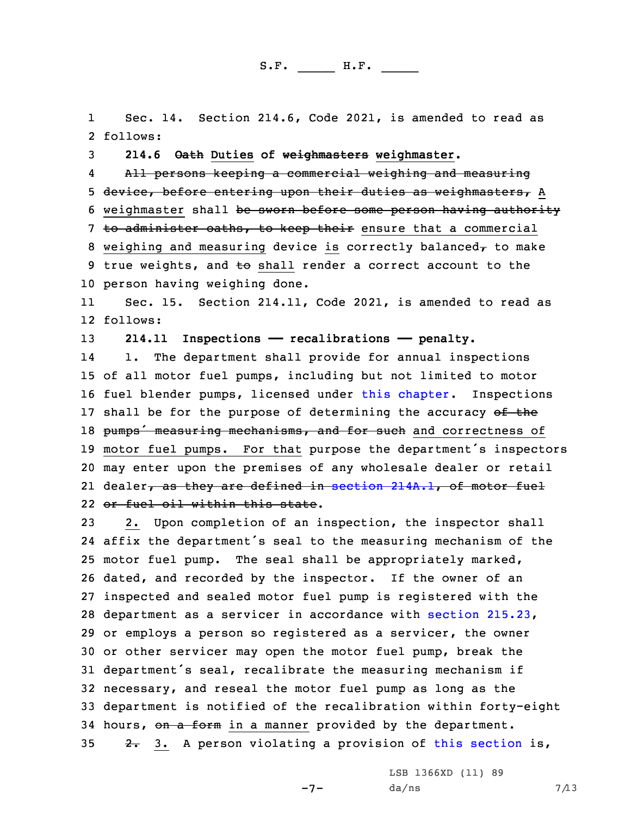1 Sec. 14. Section 214.6, Code 2021, is amended to read as 2 follows:

3 **214.6 Oath Duties of weighmasters weighmaster.**

4 All persons keeping <sup>a</sup> commercial weighing and measuring 5 device, before entering upon their duties as weighmasters, <sup>A</sup> 6 weighmaster shall be sworn before some person having authority 7 to administer oaths, to keep their ensure that a commercial 8 weighing and measuring device is correctly balanced $\tau$  to make 9 true weights, and to shall render a correct account to the 10 person having weighing done.

11 Sec. 15. Section 214.11, Code 2021, is amended to read as 12 follows:

13 **214.11 Inspections —— recalibrations —— penalty.**

14 1. The department shall provide for annual inspections 15 of all motor fuel pumps, including but not limited to motor 16 fuel blender pumps, licensed under this [chapter](https://www.legis.iowa.gov/docs/code/2021/214.pdf). Inspections 17 shall be for the purpose of determining the accuracy of the 18 pumps' measuring mechanisms, and for such and correctness of <sup>19</sup> motor fuel pumps. For that purpose the department's inspectors 20 may enter upon the premises of any wholesale dealer or retail 21 dealer<del>, as they are defined in section [214A.1](https://www.legis.iowa.gov/docs/code/2021/214A.1.pdf), of motor fuel</del> 22 or fuel oil within this state.

 2. Upon completion of an inspection, the inspector shall affix the department's seal to the measuring mechanism of the motor fuel pump. The seal shall be appropriately marked, dated, and recorded by the inspector. If the owner of an inspected and sealed motor fuel pump is registered with the department as <sup>a</sup> servicer in accordance with section [215.23](https://www.legis.iowa.gov/docs/code/2021/215.23.pdf), or employs <sup>a</sup> person so registered as <sup>a</sup> servicer, the owner or other servicer may open the motor fuel pump, break the department's seal, recalibrate the measuring mechanism if necessary, and reseal the motor fuel pump as long as the department is notified of the recalibration within forty-eight 34 hours, on a form in a manner provided by the department.  $2.$  3. A person violating a provision of this [section](https://www.legis.iowa.gov/docs/code/2021/214.11.pdf) is,

LSB 1366XD (11) 89

 $-7-$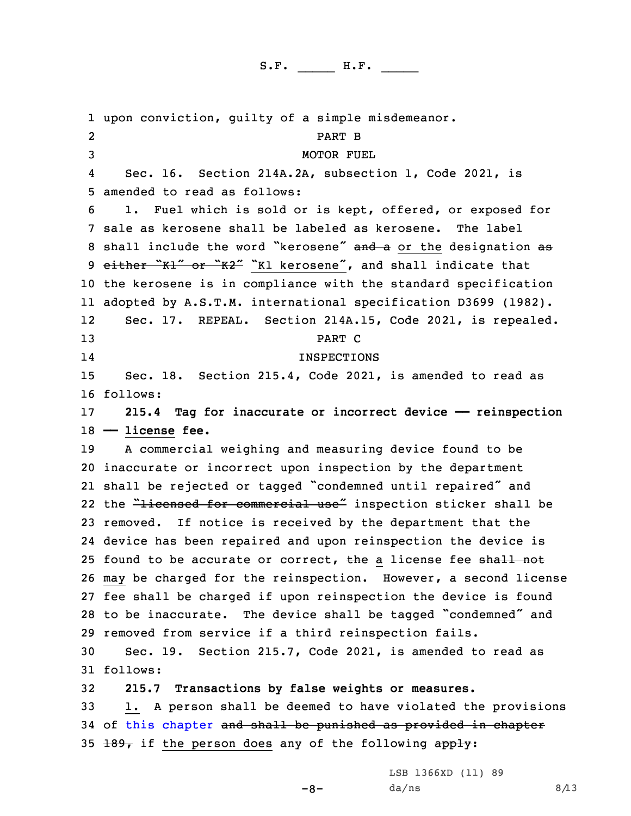1 upon conviction, guilty of <sup>a</sup> simple misdemeanor. 2 PART B 3 MOTOR FUEL 4 Sec. 16. Section 214A.2A, subsection 1, Code 2021, is 5 amended to read as follows: 6 1. Fuel which is sold or is kept, offered, or exposed for 7 sale as kerosene shall be labeled as kerosene. The label 8 shall include the word "kerosene" and a or the designation as 9 either "K1" or "K2" "K1 kerosene", and shall indicate that 10 the kerosene is in compliance with the standard specification 11 adopted by A.S.T.M. international specification D3699 (1982). 12 Sec. 17. REPEAL. Section 214A.15, Code 2021, is repealed. 13 PART C 14 INSPECTIONS 15 Sec. 18. Section 215.4, Code 2021, is amended to read as 16 follows: 17 **215.4 Tag for inaccurate or incorrect device —— reinspection** 18 **—— license fee.** 19 <sup>A</sup> commercial weighing and measuring device found to be 20 inaccurate or incorrect upon inspection by the department 21 shall be rejected or tagged "condemned until repaired" and 22 the <del>"licensed for commercial use"</del> inspection sticker shall be 23 removed. If notice is received by the department that the 24 device has been repaired and upon reinspection the device is 25 found to be accurate or correct, the a license fee shall not 26 may be charged for the reinspection. However, <sup>a</sup> second license 27 fee shall be charged if upon reinspection the device is found <sup>28</sup> to be inaccurate. The device shall be tagged "condemned" and 29 removed from service if <sup>a</sup> third reinspection fails. 30 Sec. 19. Section 215.7, Code 2021, is amended to read as 31 follows: 32 **215.7 Transactions by false weights or measures.** 33 1. <sup>A</sup> person shall be deemed to have violated the provisions 34 of this [chapter](https://www.legis.iowa.gov/docs/code/2021/215.pdf) and shall be punished as provided in chapter 35  $\pm$ 89, if the person does any of the following apply:

LSB 1366XD (11) 89

 $-8-$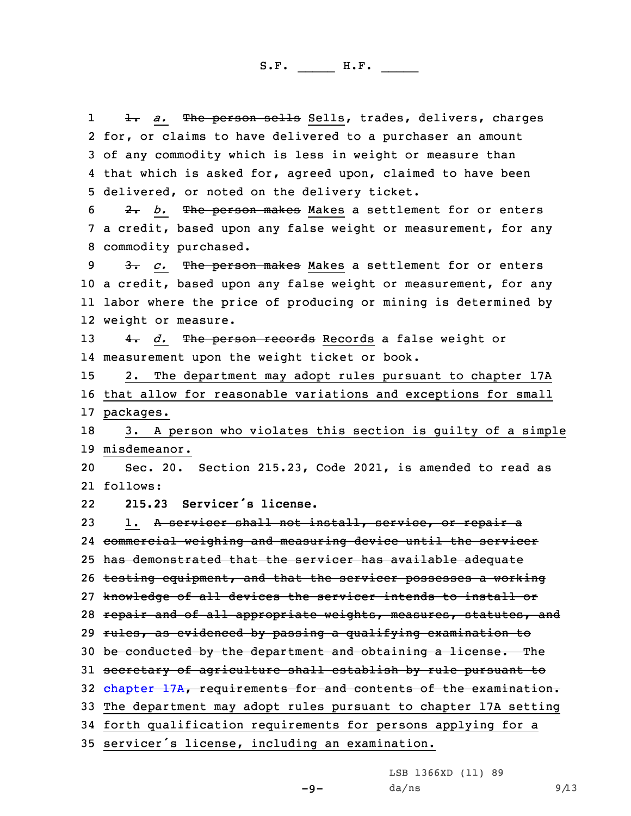1 1. *a.* The person sells Sells, trades, delivers, charges for, or claims to have delivered to <sup>a</sup> purchaser an amount of any commodity which is less in weight or measure than that which is asked for, agreed upon, claimed to have been delivered, or noted on the delivery ticket.

6 2. *b.* The person makes Makes <sup>a</sup> settlement for or enters 7 <sup>a</sup> credit, based upon any false weight or measurement, for any 8 commodity purchased.

 3. *c.* The person makes Makes <sup>a</sup> settlement for or enters <sup>a</sup> credit, based upon any false weight or measurement, for any labor where the price of producing or mining is determined by weight or measure.

13 4. *d.* The person records Records a false weight or 14 measurement upon the weight ticket or book.

15 2. The department may adopt rules pursuant to chapter 17A 16 that allow for reasonable variations and exceptions for small 17 packages.

18 3. <sup>A</sup> person who violates this section is guilty of <sup>a</sup> simple 19 misdemeanor.

20 Sec. 20. Section 215.23, Code 2021, is amended to read as 21 follows:

22**215.23 Servicer's license.**

23 1. A servicer shall not install, service, or repair a commercial weighing and measuring device until the servicer has demonstrated that the servicer has available adequate testing equipment, and that the servicer possesses <sup>a</sup> working knowledge of all devices the servicer intends to install or 28 repair and of all appropriate weights, measures, statutes, and rules, as evidenced by passing <sup>a</sup> qualifying examination to 30 be conducted by the department and obtaining a license. The 31 secretary of agriculture shall establish by rule pursuant to [chapter](https://www.legis.iowa.gov/docs/code/2021/17A.pdf) 17A, requirements for and contents of the examination. The department may adopt rules pursuant to chapter 17A setting forth qualification requirements for persons applying for <sup>a</sup>

<sup>35</sup> servicer's license, including an examination.

LSB 1366XD (11) 89

 $da/ns$  9/13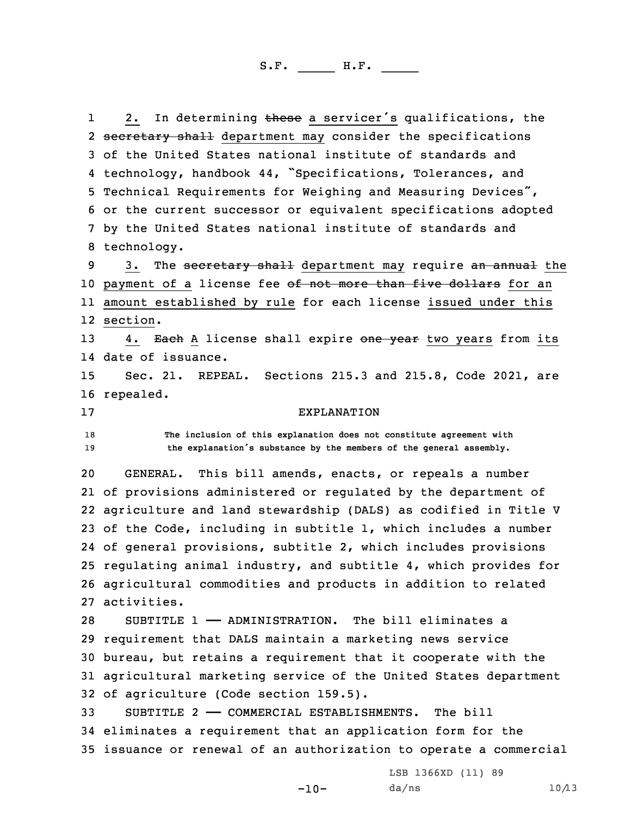12. In determining these a servicer's qualifications, the 2 <del>secretary shall</del> department may consider the specifications of the United States national institute of standards and technology, handbook 44, "Specifications, Tolerances, and Technical Requirements for Weighing and Measuring Devices", or the current successor or equivalent specifications adopted by the United States national institute of standards and technology.

9 3. The secretary shall department may require an annual the 10 payment of a license fee of not more than five dollars for an 11 amount established by rule for each license issued under this 12 section.

13 4. Each A license shall expire one year two years from its 14 date of issuance.

15 Sec. 21. REPEAL. Sections 215.3 and 215.8, Code 2021, are 16 repealed.

## 17 EXPLANATION

18 **The inclusion of this explanation does not constitute agreement with** <sup>19</sup> **the explanation's substance by the members of the general assembly.**

 GENERAL. This bill amends, enacts, or repeals <sup>a</sup> number of provisions administered or regulated by the department of agriculture and land stewardship (DALS) as codified in Title <sup>V</sup> of the Code, including in subtitle 1, which includes <sup>a</sup> number of general provisions, subtitle 2, which includes provisions regulating animal industry, and subtitle 4, which provides for agricultural commodities and products in addition to related activities.

 SUBTITLE 1 —— ADMINISTRATION. The bill eliminates <sup>a</sup> requirement that DALS maintain <sup>a</sup> marketing news service bureau, but retains <sup>a</sup> requirement that it cooperate with the agricultural marketing service of the United States department of agriculture (Code section 159.5).

33 SUBTITLE 2 —— COMMERCIAL ESTABLISHMENTS. The bill 34 eliminates <sup>a</sup> requirement that an application form for the 35 issuance or renewal of an authorization to operate <sup>a</sup> commercial

 $-10-$ 

LSB 1366XD (11) 89  $da/ns$  10/13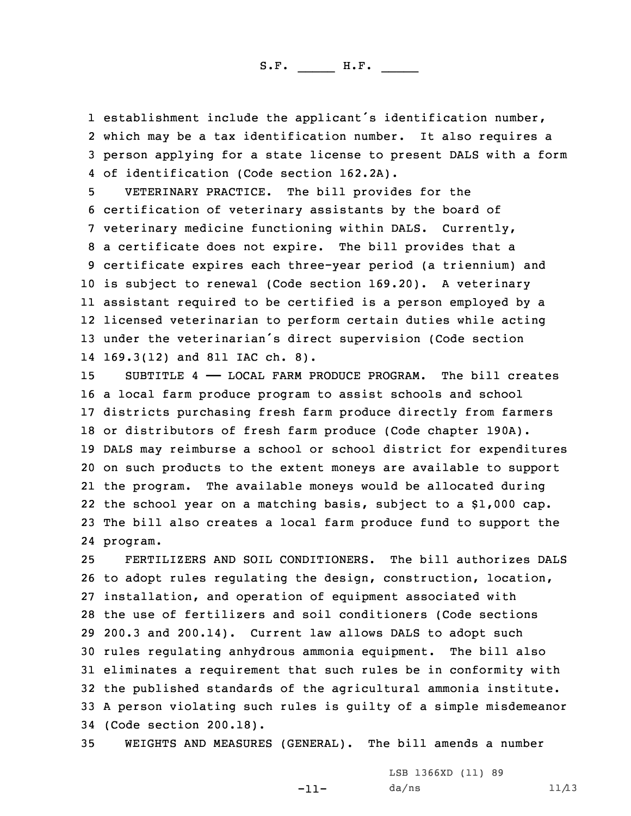establishment include the applicant's identification number, which may be <sup>a</sup> tax identification number. It also requires <sup>a</sup> person applying for <sup>a</sup> state license to present DALS with <sup>a</sup> form of identification (Code section 162.2A).

 VETERINARY PRACTICE. The bill provides for the certification of veterinary assistants by the board of veterinary medicine functioning within DALS. Currently, <sup>a</sup> certificate does not expire. The bill provides that <sup>a</sup> certificate expires each three-year period (a triennium) and is subject to renewal (Code section 169.20). <sup>A</sup> veterinary assistant required to be certified is <sup>a</sup> person employed by <sup>a</sup> licensed veterinarian to perform certain duties while acting under the veterinarian's direct supervision (Code section 169.3(12) and 811 IAC ch. 8).

 SUBTITLE 4 —— LOCAL FARM PRODUCE PROGRAM. The bill creates <sup>a</sup> local farm produce program to assist schools and school districts purchasing fresh farm produce directly from farmers or distributors of fresh farm produce (Code chapter 190A). DALS may reimburse <sup>a</sup> school or school district for expenditures on such products to the extent moneys are available to support the program. The available moneys would be allocated during the school year on <sup>a</sup> matching basis, subject to <sup>a</sup> \$1,000 cap. The bill also creates <sup>a</sup> local farm produce fund to support the 24 program.

 FERTILIZERS AND SOIL CONDITIONERS. The bill authorizes DALS to adopt rules regulating the design, construction, location, installation, and operation of equipment associated with the use of fertilizers and soil conditioners (Code sections 200.3 and 200.14). Current law allows DALS to adopt such rules regulating anhydrous ammonia equipment. The bill also eliminates <sup>a</sup> requirement that such rules be in conformity with the published standards of the agricultural ammonia institute. <sup>A</sup> person violating such rules is guilty of <sup>a</sup> simple misdemeanor (Code section 200.18).

35 WEIGHTS AND MEASURES (GENERAL). The bill amends <sup>a</sup> number

-11-

LSB 1366XD (11) 89  $da/ns$  11/13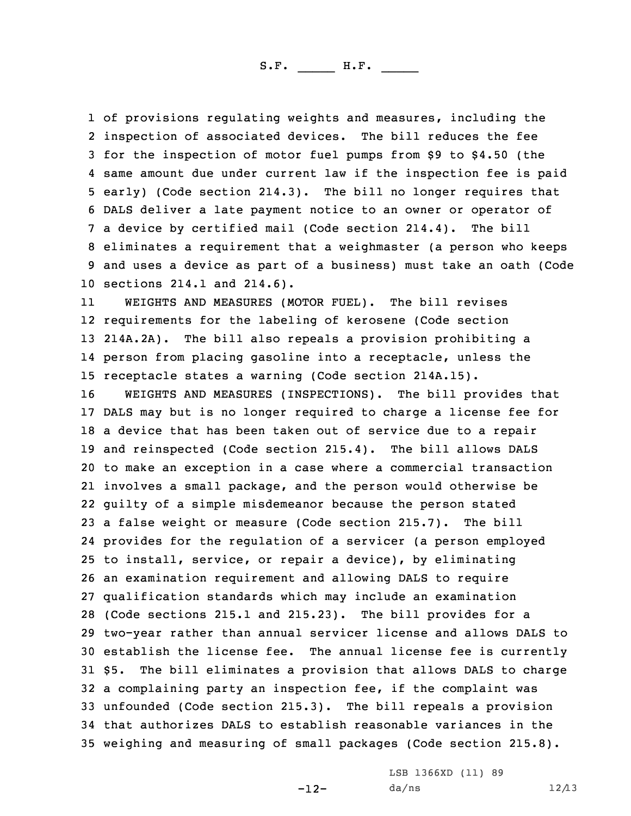of provisions regulating weights and measures, including the inspection of associated devices. The bill reduces the fee for the inspection of motor fuel pumps from \$9 to \$4.50 (the same amount due under current law if the inspection fee is paid early) (Code section 214.3). The bill no longer requires that DALS deliver <sup>a</sup> late payment notice to an owner or operator of <sup>a</sup> device by certified mail (Code section 214.4). The bill eliminates <sup>a</sup> requirement that <sup>a</sup> weighmaster (a person who keeps and uses <sup>a</sup> device as part of <sup>a</sup> business) must take an oath (Code sections 214.1 and 214.6).

11 WEIGHTS AND MEASURES (MOTOR FUEL). The bill revises requirements for the labeling of kerosene (Code section 214A.2A). The bill also repeals <sup>a</sup> provision prohibiting <sup>a</sup> person from placing gasoline into <sup>a</sup> receptacle, unless the receptacle states <sup>a</sup> warning (Code section 214A.15).

 WEIGHTS AND MEASURES (INSPECTIONS). The bill provides that DALS may but is no longer required to charge <sup>a</sup> license fee for <sup>a</sup> device that has been taken out of service due to <sup>a</sup> repair and reinspected (Code section 215.4). The bill allows DALS to make an exception in <sup>a</sup> case where <sup>a</sup> commercial transaction involves <sup>a</sup> small package, and the person would otherwise be guilty of <sup>a</sup> simple misdemeanor because the person stated <sup>a</sup> false weight or measure (Code section 215.7). The bill provides for the regulation of <sup>a</sup> servicer (a person employed to install, service, or repair <sup>a</sup> device), by eliminating an examination requirement and allowing DALS to require qualification standards which may include an examination (Code sections 215.1 and 215.23). The bill provides for <sup>a</sup> two-year rather than annual servicer license and allows DALS to establish the license fee. The annual license fee is currently \$5. The bill eliminates <sup>a</sup> provision that allows DALS to charge <sup>a</sup> complaining party an inspection fee, if the complaint was unfounded (Code section 215.3). The bill repeals <sup>a</sup> provision that authorizes DALS to establish reasonable variances in the weighing and measuring of small packages (Code section 215.8).

-12-

LSB 1366XD (11) 89  $da/ns$  12/13